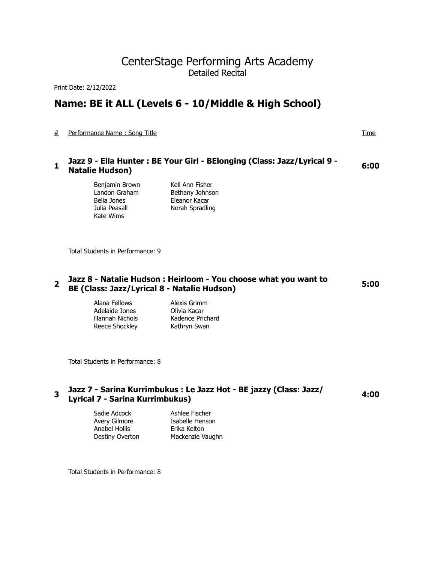# CenterStage Performing Arts Academy Detailed Recital

Print Date: 2/12/2022

# **Name: BE it ALL (Levels 6 - 10/Middle & High School)**

# Performance Name : Song Title Time

# **<sup>1</sup>Jazz 9 - Ella Hunter : BE Your Girl - BElonging (Class: Jazz/Lyrical 9 - Natalie Hudson) 6:00**

Benjamin Brown Kell Ann Fisher Bella Jones Eleanor Kacar Julia Peasall Norah Spradling Kate Wims

Landon Graham Bethany Johnson

Total Students in Performance: 9

#### **<sup>2</sup>Jazz 8 - Natalie Hudson : Heirloom - You choose what you want to BE (Class: Jazz/Lyrical 8 - Natalie Hudson) 5:00**

Alana Fellows Alexis Grimm Adelaide Jones Olivia Kacar Hannah Nichols Kadence Prichard Reece Shockley Kathryn Swan

Total Students in Performance: 8

## **<sup>3</sup>Jazz 7 - Sarina Kurrimbukus : Le Jazz Hot - BE jazzy (Class: Jazz/ Lyrical 7 - Sarina Kurrimbukus) 4:00**

Anabel Hollis Erika Kelton

Sadie Adcock Ashlee Fischer Avery Gilmore **Isabelle Henson** Destiny Overton Mackenzie Vaughn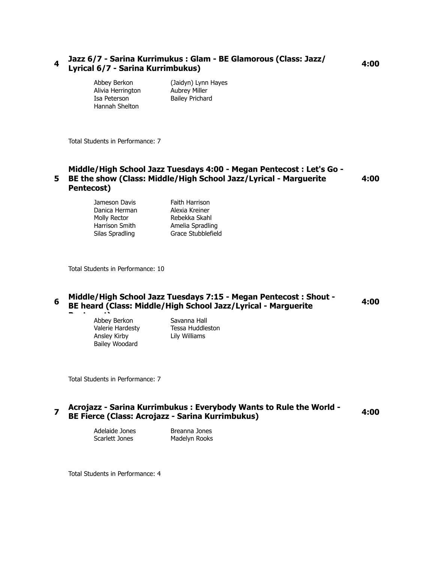# **<sup>4</sup>Jazz 6/7 - Sarina Kurrimukus : Glam - BE Glamorous (Class: Jazz/ Lyrical 6/7 - Sarina Kurrimbukus) 4:00**

Hannah Shelton

Abbey Berkon (Jaidyn) Lynn Hayes Alivia Herrington Aubrey Miller Isa Peterson Bailey Prichard

Total Students in Performance: 7

#### **5 BE the show (Class: Middle/High School Jazz/Lyrical - Marguerite Middle/High School Jazz Tuesdays 4:00 - Megan Pentecost : Let's Go - Pentecost) 4:00**

Jameson Davis Faith Harrison Danica Herman Alexia Kreiner Molly Rector **Rebekka Skahl** Harrison Smith **Amelia Spradling** Silas Spradling Grace Stubblefield

Total Students in Performance: 10

#### **<sup>6</sup>Middle/High School Jazz Tuesdays 7:15 - Megan Pentecost : Shout - BE heard (Class: Middle/High School Jazz/Lyrical - Marguerite 4:00**

**Pentecos Cost 1.5 Server Savanna Hall**<br> **Person Savanna Hall** Ansley Kirby Lily Williams Bailey Woodard

Valerie Hardesty Tessa Huddleston

Total Students in Performance: 7

### **<sup>7</sup>Acrojazz - Sarina Kurrimbukus : Everybody Wants to Rule the World - BE Fierce (Class: Acrojazz - Sarina Kurrimbukus) 4:00**

Scarlett Jones Madelyn Rooks

Adelaide Jones Breanna Jones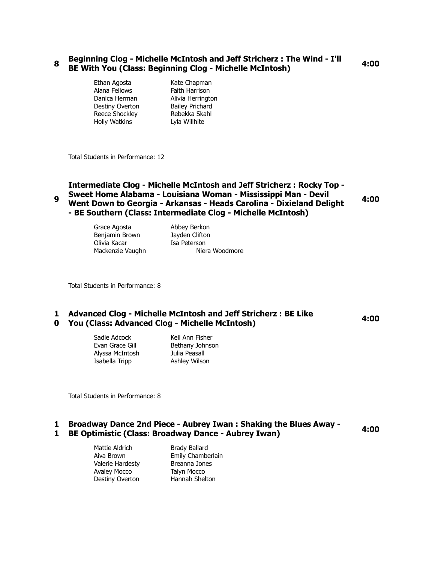## **<sup>8</sup>Beginning Clog - Michelle McIntosh and Jeff Stricherz : The Wind - I'll BE With You (Class: Beginning Clog - Michelle McIntosh) 4:00**

- Alana Fellows **Faith Harrison** Destiny Overton Bailey Prichard Reece Shockley Rebekka Skahl Holly Watkins Lyla Willhite
- Ethan Agosta Kate Chapman Danica Herman Alivia Herrington

Total Students in Performance: 12

**9 Intermediate Clog - Michelle McIntosh and Jeff Stricherz : Rocky Top - Sweet Home Alabama - Louisiana Woman - Mississippi Man - Devil Went Down to Georgia - Arkansas - Heads Carolina - Dixieland Delight - BE Southern (Class: Intermediate Clog - Michelle McIntosh) 4:00**

> Grace Agosta **Abbey Berkon** Benjamin Brown Jayden Clifton Olivia Kacar Isa Peterson

Mackenzie Vaughn Niera Woodmore

Total Students in Performance: 8

#### **1 Advanced Clog - Michelle McIntosh and Jeff Stricherz : BE Like 0 You (Class: Advanced Clog - Michelle McIntosh) 4:00**

Sadie Adcock Kell Ann Fisher Evan Grace Gill Bethany Johnson Alyssa McIntosh Julia Peasall Isabella Tripp **Ashley Wilson** 

Total Students in Performance: 8

#### **1 Broadway Dance 2nd Piece - Aubrey Iwan : Shaking the Blues Away - 1 BE Optimistic (Class: Broadway Dance - Aubrey Iwan) 4:00**

Mattie Aldrich Brady Ballard Valerie Hardesty Breanna Jones Avaley Mocco Talyn Mocco

Aiva Brown Emily Chamberlain Destiny Overton Hannah Shelton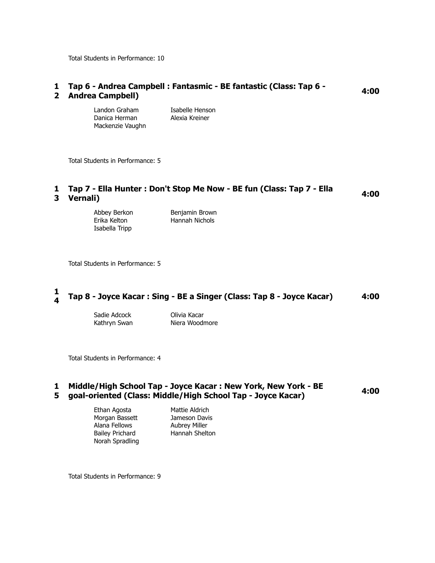Total Students in Performance: 10

#### **1 Tap 6 - Andrea Campbell : Fantasmic - BE fantastic (Class: Tap 6 - Andrea Campbell) 4:00** 2 Andrea Campbell)

Landon Graham Isabelle Henson Danica Herman Alexia Kreiner Mackenzie Vaughn

Total Students in Performance: 5

#### **1 Tap 7 - Ella Hunter : Don't Stop Me Now - BE fun (Class: Tap 7 - Ella Vernali) 4:00 3**

| Abbey Berkon   | Benjamin Brown |
|----------------|----------------|
| Erika Kelton   | Hannah Nichols |
| Isabella Tripp |                |

Total Students in Performance: 5

#### **1 <sup>4</sup>Tap 8 - Joyce Kacar : Sing - BE a Singer (Class: Tap 8 - Joyce Kacar) 4:00**

Sadie Adcock Olivia Kacar

Kathryn Swan Niera Woodmore

Total Students in Performance: 4

#### **1 Middle/High School Tap - Joyce Kacar : New York, New York - BE 5 goal-oriented (Class: Middle/High School Tap - Joyce Kacar) 4:00**

- Morgan Bassett Jameson Davis Alana Fellows **Aubrey Miller** Bailey Prichard Hannah Shelton Norah Spradling
- Ethan Agosta Mattie Aldrich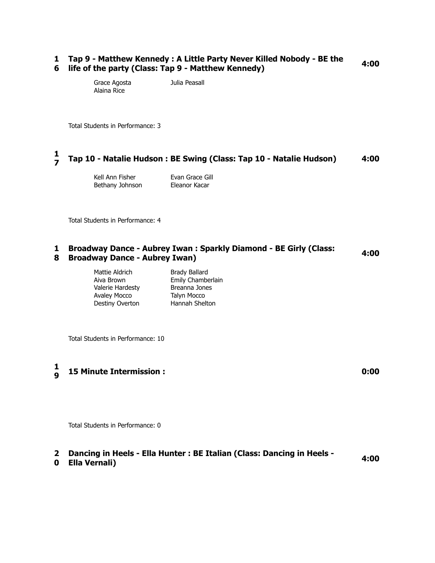#### **1 Tap 9 - Matthew Kennedy : A Little Party Never Killed Nobody - BE the 6 life of the party (Class: Tap 9 - Matthew Kennedy) 4:00**

Grace Agosta Julia Peasall Alaina Rice

Total Students in Performance: 3

#### **1 <sup>7</sup>Tap 10 - Natalie Hudson : BE Swing (Class: Tap 10 - Natalie Hudson) 4:00**

Kell Ann Fisher **Evan Grace Gill** Bethany Johnson Eleanor Kacar

Total Students in Performance: 4

#### **1 Broadway Dance - Aubrey Iwan : Sparkly Diamond - BE Girly (Class: 8 Broadway Dance - Aubrey Iwan) 4:00**

Mattie Aldrich Brady Ballard Aiva Brown Emily Chamberlain Valerie Hardesty Breanna Jones Avaley Mocco Talyn Mocco Destiny Overton Hannah Shelton

Total Students in Performance: 10

#### **1 <sup>9</sup>15 Minute Intermission : 0:00**

Total Students in Performance: 0

# **2 Dancing in Heels - Ella Hunter : BE Italian (Class: Dancing in Heels - Ella Vernali) 4:00**

#### **0** Ella Vernali)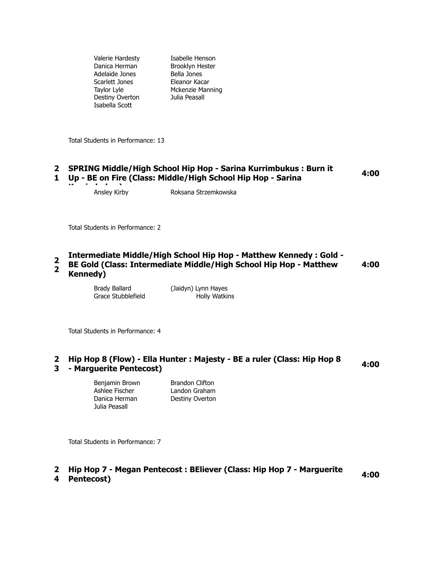Valerie Hardesty Isabelle Henson Danica Herman Brooklyn Hester Adelaide Jones Bella Jones Scarlett Jones Eleanor Kacar Destiny Overton Julia Peasall Isabella Scott

Taylor Lyle Mckenzie Manning

Total Students in Performance: 13

#### **2 SPRING Middle/High School Hip Hop - Sarina Kurrimbukus : Burn it 1 Up - BE on Fire (Class: Middle/High School Hip Hop - Sarina 4:00**

**Ansley Kirby** 

Roksana Strzemkowska

Total Students in Performance: 2

#### **Intermediate Middle/High School Hip Hop - Matthew Kennedy : Gold -**

**2 2 BE Gold (Class: Intermediate Middle/High School Hip Hop - Matthew Kennedy) 4:00**

> Brady Ballard (Jaidyn) Lynn Hayes Grace Stubblefield Holly Watkins

Total Students in Performance: 4

#### **2 Hip Hop 8 (Flow) - Ella Hunter : Majesty - BE a ruler (Class: Hip Hop 8 3 - Marguerite Pentecost) 4:00**

Benjamin Brown Brandon Clifton Ashlee Fischer Landon Graham Danica Herman Destiny Overton Julia Peasall

Total Students in Performance: 7

# **2 Hip Hop 7 - Megan Pentecost : BEliever (Class: Hip Hop 7 - Marguerite Pentecost) 4:00**

4 **Pentecost**)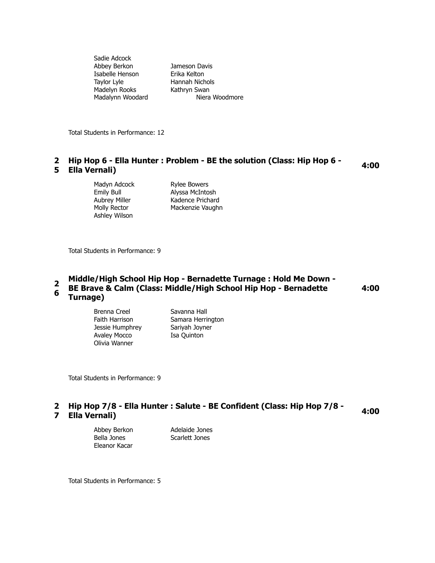| Jameson Davis  |
|----------------|
| Erika Kelton   |
| Hannah Nichols |
| Kathryn Swan   |
| Niera Woodmore |
|                |

Total Students in Performance: 12

### **2 Hip Hop 6 - Ella Hunter : Problem - BE the solution (Class: Hip Hop 6 - Ella Vernali) 4:00 5 Ella Vernali**)

Madyn Adcock Rylee Bowers Ashley Wilson

Emily Bull Alyssa McIntosh Aubrey Miller Kadence Prichard Molly Rector Mackenzie Vaughn

Total Students in Performance: 9

#### **2 6 Middle/High School Hip Hop - Bernadette Turnage : Hold Me Down - BE Brave & Calm (Class: Middle/High School Hip Hop - Bernadette Turnage) 4:00**

Brenna Creel Savanna Hall Faith Harrison Samara Herrington Jessie Humphrey Sariyah Joyner Avaley Mocco Isa Quinton Olivia Wanner

Total Students in Performance: 9

#### **2 Hip Hop 7/8 - Ella Hunter : Salute - BE Confident (Class: Hip Hop 7/8 - Ella Vernali) 4:00** 7 Ella Vernali)

Abbey Berkon Adelaide Jones Bella Jones Scarlett Jones Eleanor Kacar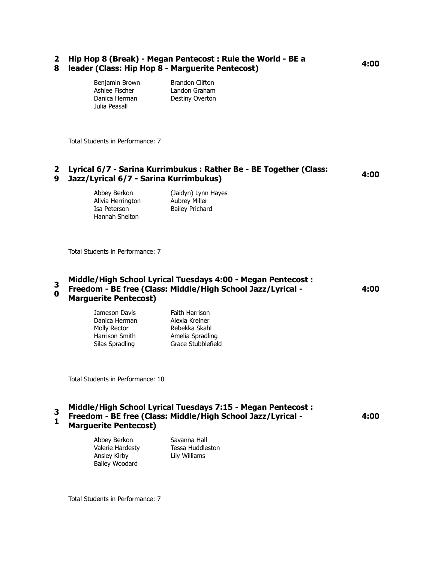#### **2 Hip Hop 8 (Break) - Megan Pentecost : Rule the World - BE a 8 leader (Class: Hip Hop 8 - Marguerite Pentecost) 4:00**

| Benjamin Brown | <b>Brandon Clifton</b> |
|----------------|------------------------|
| Ashlee Fischer | Landon Graham          |
| Danica Herman  | Destiny Overton        |
| Julia Peasall  |                        |

Total Students in Performance: 7

# **2 Lyrical 6/7 - Sarina Kurrimbukus : Rather Be - BE Together (Class: 9 Jazz/Lyrical 6/7 - Sarina Kurrimbukus) 4:00**

Alivia Herrington Aubrey Miller Isa Peterson Bailey Prichard Hannah Shelton

Abbey Berkon (Jaidyn) Lynn Hayes

Total Students in Performance: 7

#### **3 0 Middle/High School Lyrical Tuesdays 4:00 - Megan Pentecost : Freedom - BE free (Class: Middle/High School Jazz/Lyrical - Marguerite Pentecost) 4:00**

Danica Herman Alexia Kreiner Molly Rector **Rebekka Skahl** 

Jameson Davis Faith Harrison Harrison Smith Amelia Spradling Silas Spradling Grace Stubblefield

Total Students in Performance: 10

#### **3 Middle/High School Lyrical Tuesdays 7:15 - Megan Pentecost :**

**1 Freedom - BE free (Class: Middle/High School Jazz/Lyrical - 4:00**

**Marguerite Pentecost)**

Ansley Kirby Lily Williams Bailey Woodard

Abbey Berkon Savanna Hall Valerie Hardesty Tessa Huddleston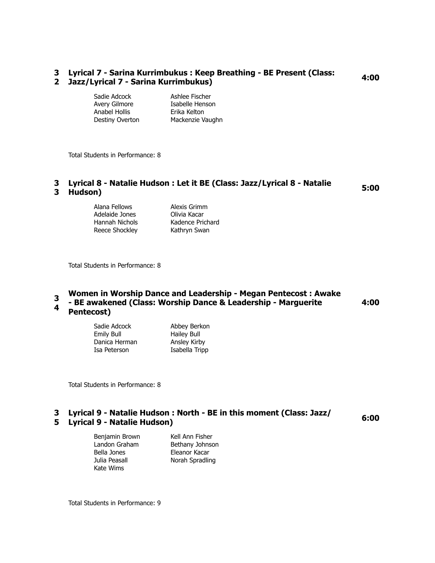#### **3 Lyrical 7 - Sarina Kurrimbukus : Keep Breathing - BE Present (Class: 2 Jazz/Lyrical 7 - Sarina Kurrimbukus) 4:00**

Sadie Adcock Ashlee Fischer Anabel Hollis Erika Kelton

Avery Gilmore **Isabelle Henson** Destiny Overton Mackenzie Vaughn

Total Students in Performance: 8

# **3 Lyrical 8 - Natalie Hudson : Let it BE (Class: Jazz/Lyrical 8 - Natalie Hudson) 5:00** 3 Hudson)

| Alana Fellows  | Alexis Grimm     |
|----------------|------------------|
| Adelaide Jones | Olivia Kacar     |
| Hannah Nichols | Kadence Prichard |
| Reece Shockley | Kathryn Swan     |

Total Students in Performance: 8

#### **3 4 Women in Worship Dance and Leadership - Megan Pentecost : Awake - BE awakened (Class: Worship Dance & Leadership - Marguerite Pentecost) 4:00**

| Sadie Adcock  | Abbey Berkon   |
|---------------|----------------|
| Emily Bull    | Hailey Bull    |
| Danica Herman | Ansley Kirby   |
| Isa Peterson  | Isabella Tripp |

Total Students in Performance: 8

## **3 Lyrical 9 - Natalie Hudson : North - BE in this moment (Class: Jazz/ 5 Lyrical 9 - Natalie Hudson) 6:00**

Bella Jones Eleanor Kacar Julia Peasall Norah Spradling Kate Wims

Benjamin Brown Kell Ann Fisher Landon Graham Bethany Johnson